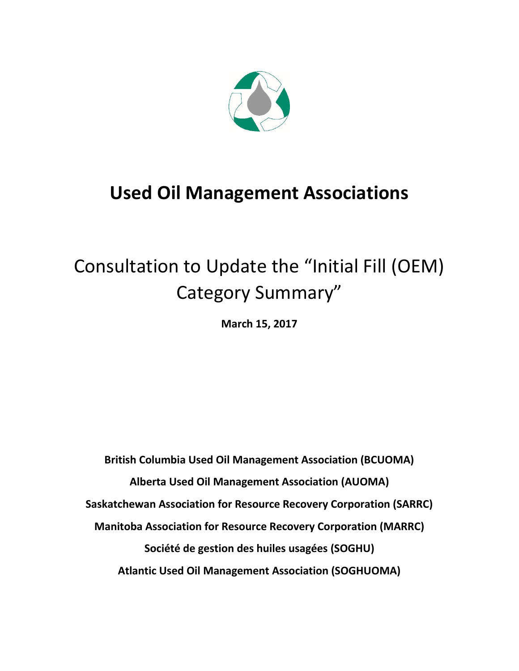

## **Used Oil Management Associations**

# Consultation to Update the "Initial Fill (OEM) Category Summary"

**March 15, 2017**

**British Columbia Used Oil Management Association (BCUOMA) Alberta Used Oil Management Association (AUOMA) Saskatchewan Association for Resource Recovery Corporation (SARRC) Manitoba Association for Resource Recovery Corporation (MARRC) Société de gestion des huiles usagées (SOGHU) Atlantic Used Oil Management Association (SOGHUOMA)**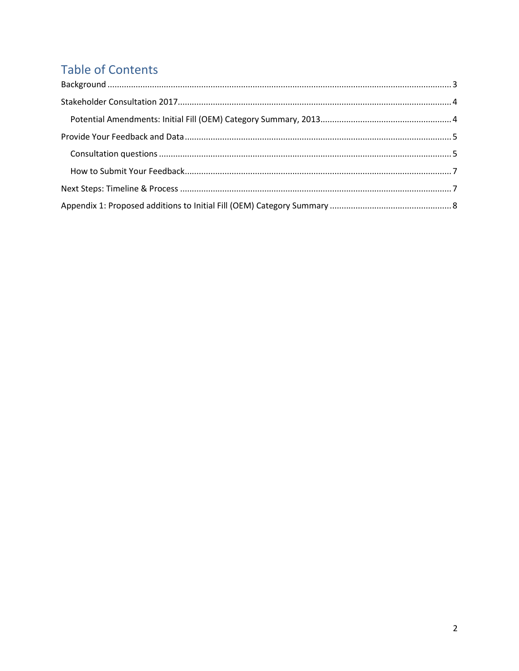## **Table of Contents**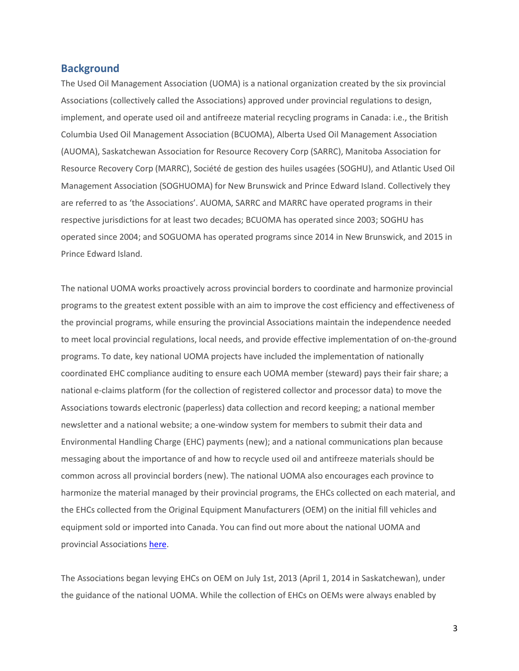#### <span id="page-2-0"></span>**Background**

The Used Oil Management Association (UOMA) is a national organization created by the six provincial Associations (collectively called the Associations) approved under provincial regulations to design, implement, and operate used oil and antifreeze material recycling programs in Canada: i.e., the British Columbia Used Oil Management Association (BCUOMA), Alberta Used Oil Management Association (AUOMA), Saskatchewan Association for Resource Recovery Corp (SARRC), Manitoba Association for Resource Recovery Corp (MARRC), Société de gestion des huiles usagées (SOGHU), and Atlantic Used Oil Management Association (SOGHUOMA) for New Brunswick and Prince Edward Island. Collectively they are referred to as 'the Associations'. AUOMA, SARRC and MARRC have operated programs in their respective jurisdictions for at least two decades; BCUOMA has operated since 2003; SOGHU has operated since 2004; and SOGUOMA has operated programs since 2014 in New Brunswick, and 2015 in Prince Edward Island.

The national UOMA works proactively across provincial borders to coordinate and harmonize provincial programs to the greatest extent possible with an aim to improve the cost efficiency and effectiveness of the provincial programs, while ensuring the provincial Associations maintain the independence needed to meet local provincial regulations, local needs, and provide effective implementation of on-the-ground programs. To date, key national UOMA projects have included the implementation of nationally coordinated EHC compliance auditing to ensure each UOMA member (steward) pays their fair share; a national e-claims platform (for the collection of registered collector and processor data) to move the Associations towards electronic (paperless) data collection and record keeping; a national member newsletter and a national website; a one-window system for members to submit their data and Environmental Handling Charge (EHC) payments (new); and a national communications plan because messaging about the importance of and how to recycle used oil and antifreeze materials should be common across all provincial borders (new). The national UOMA also encourages each province to harmonize the material managed by their provincial programs, the EHCs collected on each material, and the EHCs collected from the Original Equipment Manufacturers (OEM) on the initial fill vehicles and equipment sold or imported into Canada. You can find out more about the national UOMA and provincial Associations [here.](http://usedoilrecycling.com/)

The Associations began levying EHCs on OEM on July 1st, 2013 (April 1, 2014 in Saskatchewan), under the guidance of the national UOMA. While the collection of EHCs on OEMs were always enabled by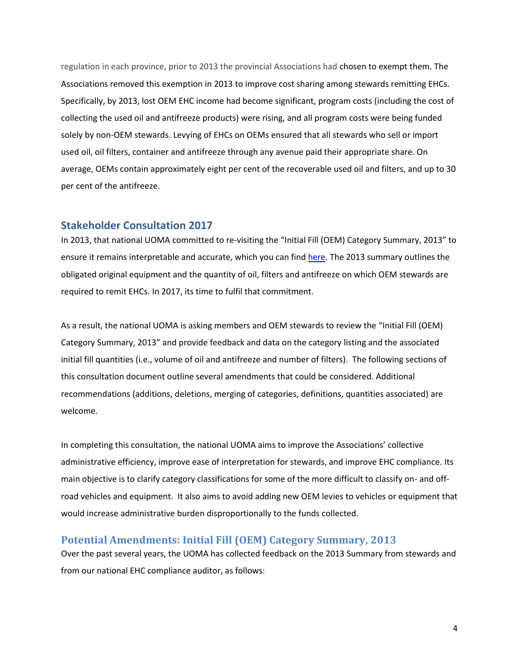regulation in each province, prior to 2013 the provincial Associations had chosen to exempt them. The Associations removed this exemption in 2013 to improve cost sharing among stewards remitting EHCs. Specifically, by 2013, lost OEM EHC income had become significant, program costs (including the cost of collecting the used oil and antifreeze products) were rising, and all program costs were being funded solely by non-OEM stewards. Levying of EHCs on OEMs ensured that all stewards who sell or import used oil, oil filters, container and antifreeze through any avenue paid their appropriate share. On average, OEMs contain approximately eight per cent of the recoverable used oil and filters, and up to 30 per cent of the antifreeze.

#### <span id="page-3-0"></span>**Stakeholder Consultation 2017**

In 2013, that national UOMA committed to re-visiting the "Initial Fill (OEM) Category Summary, 2013" to ensure it remains interpretable and accurate, which you can fin[d here.](http://usedoilrecycling.com/wordpress/wp-content/uploads/2015/08/OEM-Categories-Summary_January-2015.pdf) The 2013 summary outlines the obligated original equipment and the quantity of oil, filters and antifreeze on which OEM stewards are required to remit EHCs. In 2017, its time to fulfil that commitment.

As a result, the national UOMA is asking members and OEM stewards to review the "Initial Fill (OEM) Category Summary, 2013" and provide feedback and data on the category listing and the associated initial fill quantities (i.e., volume of oil and antifreeze and number of filters). The following sections of this consultation document outline several amendments that could be considered. Additional recommendations (additions, deletions, merging of categories, definitions, quantities associated) are welcome.

In completing this consultation, the national UOMA aims to improve the Associations' collective administrative efficiency, improve ease of interpretation for stewards, and improve EHC compliance. Its main objective is to clarify category classifications for some of the more difficult to classify on- and offroad vehicles and equipment. It also aims to avoid adding new OEM levies to vehicles or equipment that would increase administrative burden disproportionally to the funds collected.

#### <span id="page-3-1"></span>**Potential Amendments: Initial Fill (OEM) Category Summary, 2013**

Over the past several years, the UOMA has collected feedback on the 2013 Summary from stewards and from our national EHC compliance auditor, as follows: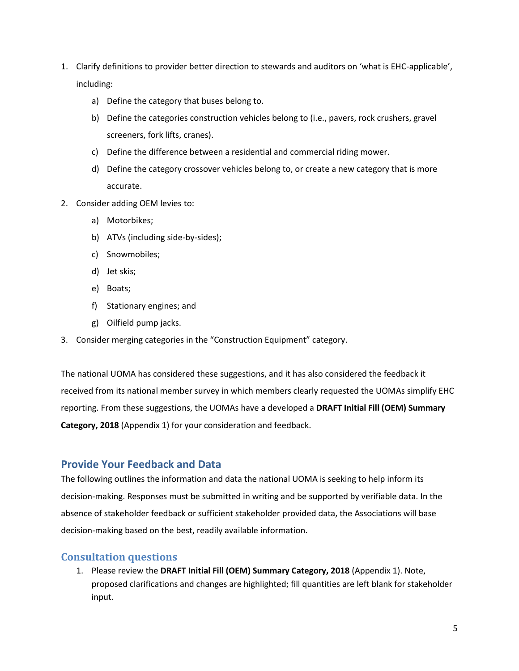- 1. Clarify definitions to provider better direction to stewards and auditors on 'what is EHC-applicable', including:
	- a) Define the category that buses belong to.
	- b) Define the categories construction vehicles belong to (i.e., pavers, rock crushers, gravel screeners, fork lifts, cranes).
	- c) Define the difference between a residential and commercial riding mower.
	- d) Define the category crossover vehicles belong to, or create a new category that is more accurate.
- 2. Consider adding OEM levies to:
	- a) Motorbikes;
	- b) ATVs (including side-by-sides);
	- c) Snowmobiles;
	- d) Jet skis;
	- e) Boats;
	- f) Stationary engines; and
	- g) Oilfield pump jacks.
- 3. Consider merging categories in the "Construction Equipment" category.

The national UOMA has considered these suggestions, and it has also considered the feedback it received from its national member survey in which members clearly requested the UOMAs simplify EHC reporting. From these suggestions, the UOMAs have a developed a **DRAFT Initial Fill (OEM) Summary Category, 2018** (Appendix 1) for your consideration and feedback.

#### <span id="page-4-0"></span>**Provide Your Feedback and Data**

The following outlines the information and data the national UOMA is seeking to help inform its decision-making. Responses must be submitted in writing and be supported by verifiable data. In the absence of stakeholder feedback or sufficient stakeholder provided data, the Associations will base decision-making based on the best, readily available information.

#### <span id="page-4-1"></span>**Consultation questions**

1. Please review the **DRAFT Initial Fill (OEM) Summary Category, 2018** (Appendix 1). Note, proposed clarifications and changes are highlighted; fill quantities are left blank for stakeholder input.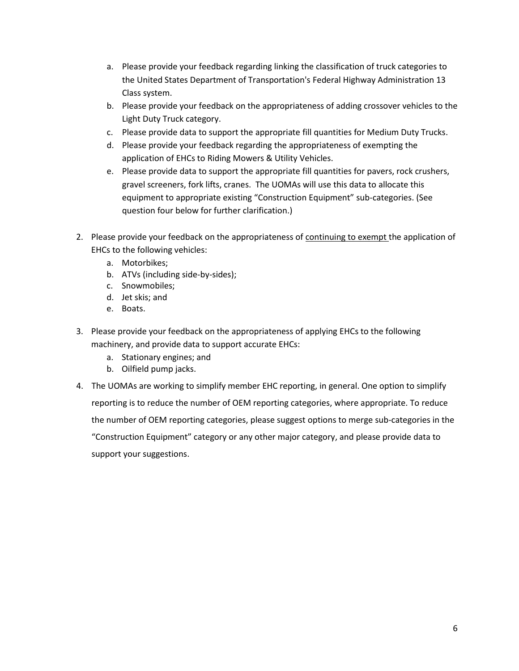- a. Please provide your feedback regarding linking the classification of truck categories to the United States Department of Transportation's Federal Highway Administration 13 Class system.
- b. Please provide your feedback on the appropriateness of adding crossover vehicles to the Light Duty Truck category.
- c. Please provide data to support the appropriate fill quantities for Medium Duty Trucks.
- d. Please provide your feedback regarding the appropriateness of exempting the application of EHCs to Riding Mowers & Utility Vehicles.
- e. Please provide data to support the appropriate fill quantities for pavers, rock crushers, gravel screeners, fork lifts, cranes. The UOMAs will use this data to allocate this equipment to appropriate existing "Construction Equipment" sub-categories. (See question four below for further clarification.)
- 2. Please provide your feedback on the appropriateness of continuing to exempt the application of EHCs to the following vehicles:
	- a. Motorbikes;
	- b. ATVs (including side-by-sides);
	- c. Snowmobiles;
	- d. Jet skis; and
	- e. Boats.
- 3. Please provide your feedback on the appropriateness of applying EHCs to the following machinery, and provide data to support accurate EHCs:
	- a. Stationary engines; and
	- b. Oilfield pump jacks.
- <span id="page-5-0"></span>4. The UOMAs are working to simplify member EHC reporting, in general. One option to simplify reporting is to reduce the number of OEM reporting categories, where appropriate. To reduce the number of OEM reporting categories, please suggest options to merge sub-categories in the "Construction Equipment" category or any other major category, and please provide data to support your suggestions.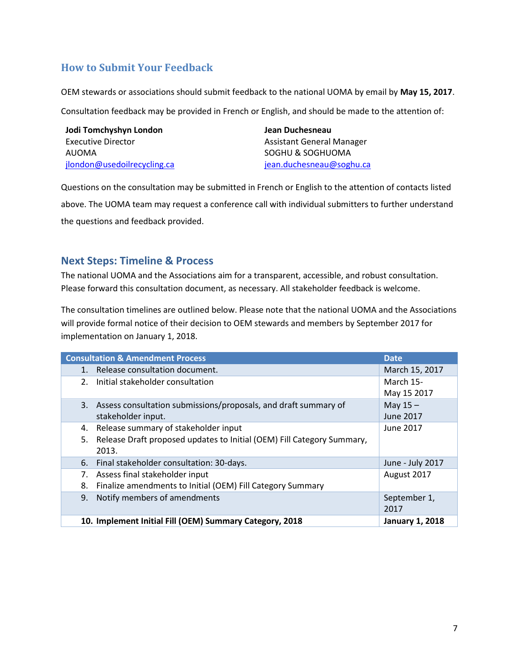#### **How to Submit Your Feedback**

OEM stewards or associations should submit feedback to the national UOMA by email by **May 15, 2017**.

Consultation feedback may be provided in French or English, and should be made to the attention of:

| Jodi Tomchyshyn London      | Jean Duchesneau           |  |  |  |
|-----------------------------|---------------------------|--|--|--|
| Executive Director          | Assistant General Manager |  |  |  |
| AUOMA                       | SOGHU & SOGHUOMA          |  |  |  |
| jlondon@usedoilrecycling.ca | jean.duchesneau@soghu.ca  |  |  |  |

Questions on the consultation may be submitted in French or English to the attention of contacts listed above. The UOMA team may request a conference call with individual submitters to further understand the questions and feedback provided.

#### <span id="page-6-0"></span>**Next Steps: Timeline & Process**

The national UOMA and the Associations aim for a transparent, accessible, and robust consultation. Please forward this consultation document, as necessary. All stakeholder feedback is welcome.

The consultation timelines are outlined below. Please note that the national UOMA and the Associations will provide formal notice of their decision to OEM stewards and members by September 2017 for implementation on January 1, 2018.

| <b>Consultation &amp; Amendment Process</b>                                  | <b>Date</b>            |
|------------------------------------------------------------------------------|------------------------|
| Release consultation document.<br>1.                                         | March 15, 2017         |
| Initial stakeholder consultation<br>2.                                       | March 15-              |
|                                                                              | May 15 2017            |
| 3. Assess consultation submissions/proposals, and draft summary of           | May $15 -$             |
| stakeholder input.                                                           | <b>June 2017</b>       |
| Release summary of stakeholder input<br>4.                                   | June 2017              |
| Release Draft proposed updates to Initial (OEM) Fill Category Summary,<br>5. |                        |
| 2013.                                                                        |                        |
| Final stakeholder consultation: 30-days.<br>6.                               | June - July 2017       |
| Assess final stakeholder input<br>7.                                         | August 2017            |
| Finalize amendments to Initial (OEM) Fill Category Summary<br>8.             |                        |
| Notify members of amendments<br>9.                                           | September 1,           |
|                                                                              | 2017                   |
| 10. Implement Initial Fill (OEM) Summary Category, 2018                      | <b>January 1, 2018</b> |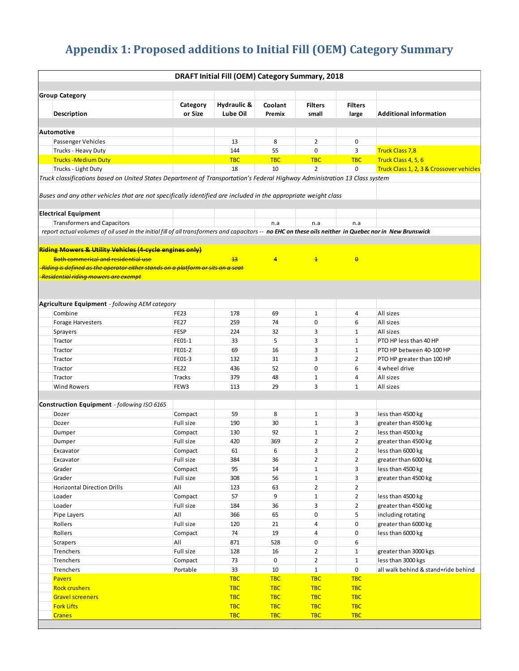### <span id="page-7-0"></span>**Appendix 1: Proposed additions to Initial Fill (OEM) Category Summary**

| DRAFT Initial Fill (OEM) Category Summary, 2018                                                                                                         |                     |                         |                   |                         |                         |                                          |  |
|---------------------------------------------------------------------------------------------------------------------------------------------------------|---------------------|-------------------------|-------------------|-------------------------|-------------------------|------------------------------------------|--|
| <b>Group Category</b>                                                                                                                                   |                     |                         |                   |                         |                         |                                          |  |
| Description                                                                                                                                             | Category<br>or Size | Hydraulic &<br>Lube Oil | Coolant<br>Premix | <b>Filters</b><br>small | <b>Filters</b><br>large | <b>Additional information</b>            |  |
| <b>Automotive</b>                                                                                                                                       |                     |                         |                   |                         |                         |                                          |  |
| Passenger Vehicles                                                                                                                                      |                     | 13                      | 8                 | 2                       | 0                       |                                          |  |
| Trucks - Heavy Duty                                                                                                                                     |                     | 144                     | 55                | $\mathbf 0$             | 3                       | <b>Truck Class 7,8</b>                   |  |
| <b>Trucks-Medium Duty</b>                                                                                                                               |                     | <b>TBC</b>              | <b>TBC</b>        | <b>TBC</b>              | <b>TBC</b>              | Truck Class 4, 5, 6                      |  |
| Trucks - Light Duty                                                                                                                                     |                     | 18                      | 10                | $\overline{2}$          | 0                       | Truck Class 1, 2, 3 & Crossover vehicles |  |
| Truck classifications based on United States Department of Transportation's Federal Highway Administration 13 Class system                              |                     |                         |                   |                         |                         |                                          |  |
| Buses and any other vehicles that are not specifically identified are included in the appropriate weight class                                          |                     |                         |                   |                         |                         |                                          |  |
| <b>Electrical Equipment</b>                                                                                                                             |                     |                         |                   |                         |                         |                                          |  |
| <b>Transformers and Capacitors</b>                                                                                                                      |                     |                         | n.a               | n.a                     | n.a                     |                                          |  |
| report actual volumes of oil used in the initial fill of all transformers and capacitors -- no EHC on these oils neither in Quebec nor in New Brunswick |                     |                         |                   |                         |                         |                                          |  |
|                                                                                                                                                         |                     |                         |                   |                         |                         |                                          |  |
| <b>Riding Mowers &amp; Utility Vehicles (4-cycle engines only)</b>                                                                                      |                     |                         |                   |                         |                         |                                          |  |
| <b>Both commerical and residential use</b>                                                                                                              |                     | $+3$                    | 4                 | $\overline{1}$          | $\theta$                |                                          |  |
| <mark>-Riding is defined as the operator either stands on a platform or sits on a seat</mark>                                                           |                     |                         |                   |                         |                         |                                          |  |
| <del>-Residential riding mowers are exempt</del><br><b>Agriculture Equipment</b> - following AEM category                                               |                     |                         |                   |                         |                         |                                          |  |
| Combine                                                                                                                                                 | <b>FE23</b>         | 178                     | 69                | $1\,$                   | 4                       | All sizes                                |  |
| <b>Forage Harvesters</b>                                                                                                                                | <b>FE27</b>         | 259                     | 74                | 0                       | 6                       | All sizes                                |  |
| Sprayers                                                                                                                                                | FESP                | 224                     | 32                | 3                       | 1                       | All sizes                                |  |
| Tractor                                                                                                                                                 | FE01-1              | 33                      | 5                 | 3                       | 1                       | PTO HP less than 40 HP                   |  |
|                                                                                                                                                         | FE01-2              | 69                      | 16                | 3                       | 1                       |                                          |  |
| Tractor                                                                                                                                                 |                     |                         |                   | 3                       |                         | PTO HP between 40-100 HP                 |  |
| Tractor                                                                                                                                                 | FE01-3              | 132                     | 31                |                         | $\overline{2}$          | PTO HP greater than 100 HP               |  |
| Tractor                                                                                                                                                 | <b>FE22</b>         | 436                     | 52                | $\mathbf 0$             | 6                       | 4 wheel drive                            |  |
| Tractor                                                                                                                                                 | <b>Tracks</b>       | 379                     | 48                | 1                       | 4                       | All sizes                                |  |
| <b>Wind Rowers</b>                                                                                                                                      | FEW3                | 113                     | 29                | 3                       | $\mathbf{1}$            | All sizes                                |  |
| Construction Equipment - following ISO 6165                                                                                                             |                     |                         |                   |                         |                         |                                          |  |
| Dozer                                                                                                                                                   | Compact             | 59                      | 8                 | $\mathbf{1}$            | 3                       | less than 4500 kg                        |  |
| Dozer                                                                                                                                                   | Full size           | 190                     | 30                | 1                       | 3                       | greater than 4500 kg                     |  |
| Dumper                                                                                                                                                  | Compact             | 130                     | 92                | 1                       | $\overline{2}$          | less than 4500 kg                        |  |
| Dumper                                                                                                                                                  | Full size           | 420                     | 369               | $\overline{2}$          | $\overline{2}$          | greater than 4500 kg                     |  |
| Excavator                                                                                                                                               | Compact             | 61                      | 6                 | 3                       | $\overline{2}$          | less than 6000 kg                        |  |
| Excavator                                                                                                                                               | Full size           | 384                     | 36                | $\overline{2}$          | $\overline{2}$          | greater than 6000 kg                     |  |
| Grader                                                                                                                                                  | Compact             | 95                      | 14                | $\mathbf{1}$            | 3                       | less than 4500 kg                        |  |
| Grader                                                                                                                                                  | Full size           | 308                     | 56                | $1\,$                   | 3                       | greater than 4500 kg                     |  |
| <b>Horizontal Direction Drills</b>                                                                                                                      | All                 | 123                     | 63                | $\overline{2}$          | $\overline{2}$          |                                          |  |
| Loader                                                                                                                                                  | Compact             | 57                      | 9                 | $\mathbf{1}$            | $\overline{2}$          | less than 4500 kg                        |  |
| Loader                                                                                                                                                  | Full size           | 184                     | 36                | 3                       | $\overline{2}$          | greater than 4500 kg                     |  |
| Pipe Layers                                                                                                                                             | All                 | 366                     | 65                | 0                       | 5                       | including rotating                       |  |
| Rollers                                                                                                                                                 | Full size           | 120                     | 21                | 4                       | 0                       | greater than 6000 kg                     |  |
| Rollers                                                                                                                                                 | Compact             | 74                      | 19                | 4                       | 0                       | less than 6000 kg                        |  |
| Scrapers                                                                                                                                                | All                 | 871                     | 528               | 0                       | 6                       |                                          |  |
| Trenchers                                                                                                                                               | Full size           | 128                     | 16                | $\overline{2}$          | $\mathbf{1}$            | greater than 3000 kgs                    |  |
| Trenchers                                                                                                                                               | Compact             | 73                      | 0                 | $\overline{2}$          | $\mathbf{1}$            | less than 3000 kgs                       |  |
| Trenchers                                                                                                                                               | Portable            | 33                      | 10                | $\mathbf{1}$            | 0                       | all walk behind & stand+ride behind      |  |
| <b>Pavers</b>                                                                                                                                           |                     | <b>TBC</b>              | <b>TBC</b>        | <b>TBC</b>              | <b>TBC</b>              |                                          |  |
| <b>Rock crushers</b>                                                                                                                                    |                     | <b>TBC</b>              | <b>TBC</b>        | <b>TBC</b>              | <b>TBC</b>              |                                          |  |
| <b>Gravel screeners</b>                                                                                                                                 |                     | <b>TBC</b>              | <b>TBC</b>        | <b>TBC</b>              | <b>TBC</b>              |                                          |  |
| <b>Fork Lifts</b>                                                                                                                                       |                     | <b>TBC</b>              | <b>TBC</b>        | <b>TBC</b>              | <b>TBC</b>              |                                          |  |
| <b>Cranes</b>                                                                                                                                           |                     | <b>TBC</b>              | <b>TBC</b>        | <b>TBC</b>              | <b>TBC</b>              |                                          |  |
|                                                                                                                                                         |                     |                         |                   |                         |                         |                                          |  |